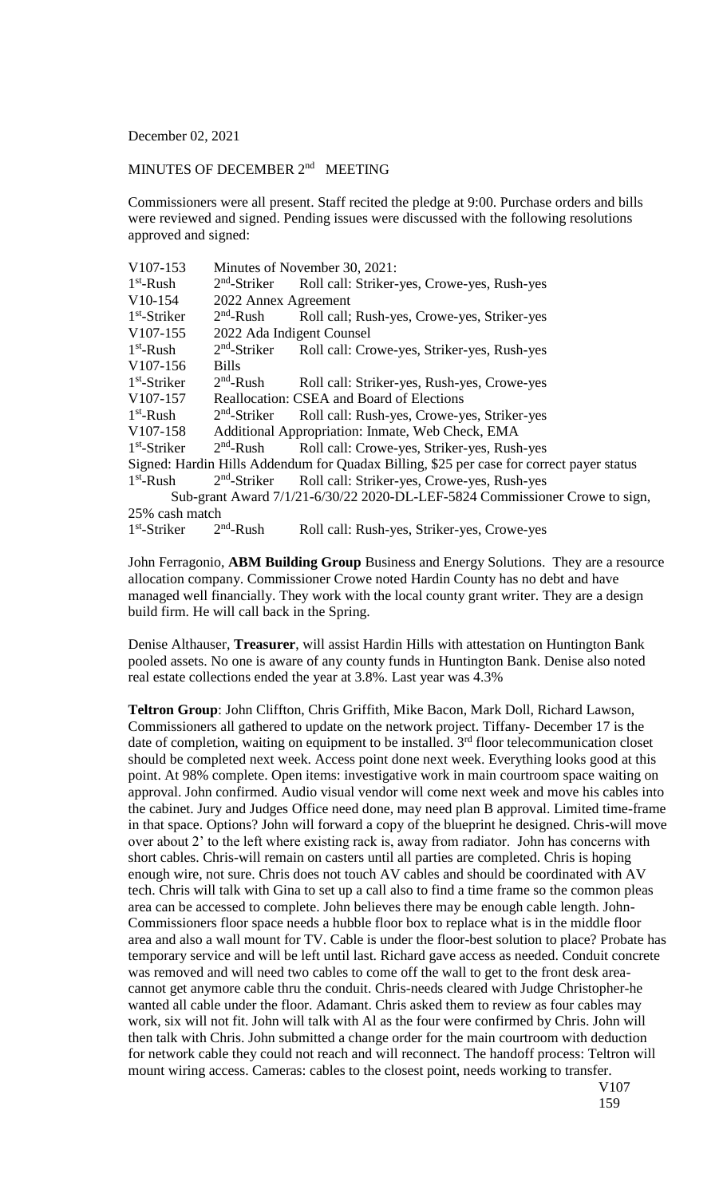December 02, 2021

## MINUTES OF DECEMBER 2<sup>nd</sup> MEETING

Commissioners were all present. Staff recited the pledge at 9:00. Purchase orders and bills were reviewed and signed. Pending issues were discussed with the following resolutions approved and signed:

| V107-153                                                                                 | Minutes of November 30, 2021:                    |                                             |
|------------------------------------------------------------------------------------------|--------------------------------------------------|---------------------------------------------|
| $1st$ -Rush                                                                              | $2nd$ -Striker                                   | Roll call: Striker-yes, Crowe-yes, Rush-yes |
| $V10-154$                                                                                | 2022 Annex Agreement                             |                                             |
| $1st$ -Striker                                                                           | $2nd$ -Rush                                      | Roll call; Rush-yes, Crowe-yes, Striker-yes |
| V <sub>107</sub> -155                                                                    | 2022 Ada Indigent Counsel                        |                                             |
| $1st$ -Rush                                                                              | $2nd$ -Striker                                   | Roll call: Crowe-yes, Striker-yes, Rush-yes |
| V <sub>107</sub> -156                                                                    | <b>Bills</b>                                     |                                             |
| $1st$ -Striker                                                                           | $2nd$ -Rush                                      | Roll call: Striker-yes, Rush-yes, Crowe-yes |
| V107-157                                                                                 | Reallocation: CSEA and Board of Elections        |                                             |
| $1st$ -Rush                                                                              | $2nd$ -Striker                                   | Roll call: Rush-yes, Crowe-yes, Striker-yes |
| V <sub>107</sub> -158                                                                    | Additional Appropriation: Inmate, Web Check, EMA |                                             |
| $1st$ -Striker                                                                           | $2nd$ -Rush                                      | Roll call: Crowe-yes, Striker-yes, Rush-yes |
| Signed: Hardin Hills Addendum for Quadax Billing, \$25 per case for correct payer status |                                                  |                                             |
| $1st$ -Rush                                                                              | $2nd$ -Striker                                   | Roll call: Striker-yes, Crowe-yes, Rush-yes |
| Sub-grant Award 7/1/21-6/30/22 2020-DL-LEF-5824 Commissioner Crowe to sign,              |                                                  |                                             |
| 25% cash match                                                                           |                                                  |                                             |
| $1st$ -Striker                                                                           | $2nd$ -Rush                                      | Roll call: Rush-yes, Striker-yes, Crowe-yes |

John Ferragonio, **ABM Building Group** Business and Energy Solutions. They are a resource allocation company. Commissioner Crowe noted Hardin County has no debt and have managed well financially. They work with the local county grant writer. They are a design build firm. He will call back in the Spring.

Denise Althauser, **Treasurer**, will assist Hardin Hills with attestation on Huntington Bank pooled assets. No one is aware of any county funds in Huntington Bank. Denise also noted real estate collections ended the year at 3.8%. Last year was 4.3%

**Teltron Group**: John Cliffton, Chris Griffith, Mike Bacon, Mark Doll, Richard Lawson, Commissioners all gathered to update on the network project. Tiffany- December 17 is the date of completion, waiting on equipment to be installed.  $3<sup>rd</sup>$  floor telecommunication closet should be completed next week. Access point done next week. Everything looks good at this point. At 98% complete. Open items: investigative work in main courtroom space waiting on approval. John confirmed. Audio visual vendor will come next week and move his cables into the cabinet. Jury and Judges Office need done, may need plan B approval. Limited time-frame in that space. Options? John will forward a copy of the blueprint he designed. Chris-will move over about 2' to the left where existing rack is, away from radiator. John has concerns with short cables. Chris-will remain on casters until all parties are completed. Chris is hoping enough wire, not sure. Chris does not touch AV cables and should be coordinated with AV tech. Chris will talk with Gina to set up a call also to find a time frame so the common pleas area can be accessed to complete. John believes there may be enough cable length. John-Commissioners floor space needs a hubble floor box to replace what is in the middle floor area and also a wall mount for TV. Cable is under the floor-best solution to place? Probate has temporary service and will be left until last. Richard gave access as needed. Conduit concrete was removed and will need two cables to come off the wall to get to the front desk areacannot get anymore cable thru the conduit. Chris-needs cleared with Judge Christopher-he wanted all cable under the floor. Adamant. Chris asked them to review as four cables may work, six will not fit. John will talk with Al as the four were confirmed by Chris. John will then talk with Chris. John submitted a change order for the main courtroom with deduction for network cable they could not reach and will reconnect. The handoff process: Teltron will mount wiring access. Cameras: cables to the closest point, needs working to transfer.